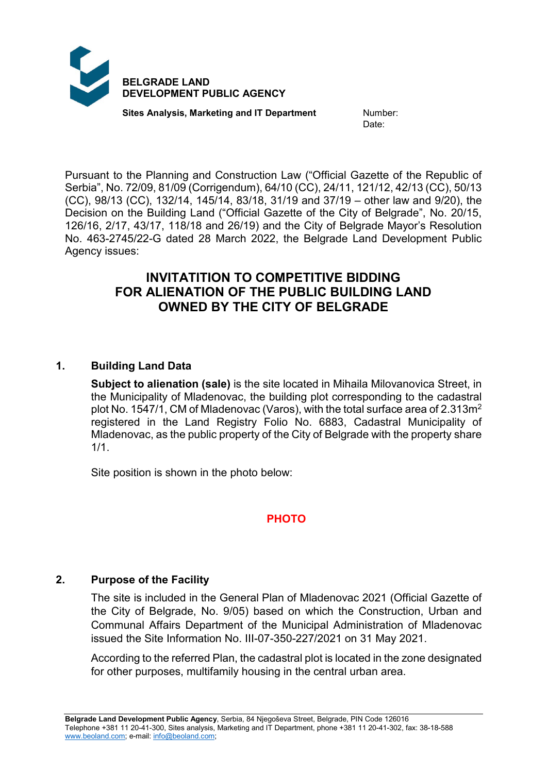

**Sites Analysis, Marketing and IT Department Mumber:** 

Date:

Pursuant to the Planning and Construction Law ("Official Gazette of the Republic of Serbia", No. 72/09, 81/09 (Corrigendum), 64/10 (CC), 24/11, 121/12, 42/13 (CC), 50/13 (CC), 98/13 (CC), 132/14, 145/14, 83/18, 31/19 and 37/19 – other law and 9/20), the Decision on the Building Land ("Official Gazette of the City of Belgrade", No. 20/15, 126/16, 2/17, 43/17, 118/18 and 26/19) and the City of Belgrade Mayor's Resolution No. 463-2745/22-G dated 28 March 2022, the Belgrade Land Development Public Agency issues:

# **INVITATITION TO COMPETITIVE BIDDING FOR ALIENATION OF THE PUBLIC BUILDING LAND OWNED BY THE CITY OF BELGRADE**

## **1. Building Land Data**

**Subject to alienation (sale)** is the site located in Mihaila Milovanovica Street, in the Municipality of Mladenovac, the building plot corresponding to the cadastral plot No. 1547/1, CM of Mladenovac (Varos), with the total surface area of 2.313m2 registered in the Land Registry Folio No. 6883, Cadastral Municipality of Mladenovac, as the public property of the City of Belgrade with the property share 1/1.

Site position is shown in the photo below:

## **PHOTO**

## **2. Purpose of the Facility**

The site is included in the General Plan of Mladenovac 2021 (Official Gazette of the City of Belgrade, No. 9/05) based on which the Construction, Urban and Communal Affairs Department of the Municipal Administration of Mladenovac issued the Site Information No. III-07-350-227/2021 on 31 May 2021.

According to the referred Plan, the cadastral plot is located in the zone designated for other purposes, multifamily housing in the central urban area.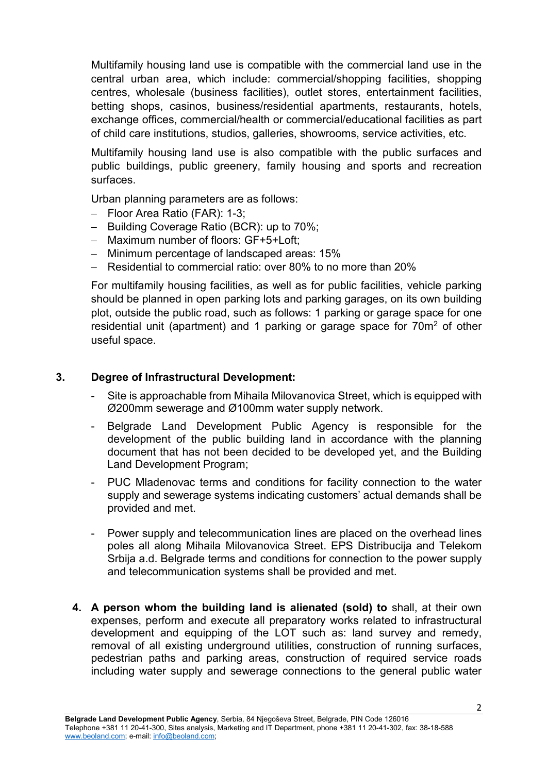Multifamily housing land use is compatible with the commercial land use in the central urban area, which include: commercial/shopping facilities, shopping centres, wholesale (business facilities), outlet stores, entertainment facilities, betting shops, casinos, business/residential apartments, restaurants, hotels, exchange offices, commercial/health or commercial/educational facilities as part of child care institutions, studios, galleries, showrooms, service activities, etc.

Multifamily housing land use is also compatible with the public surfaces and public buildings, public greenery, family housing and sports and recreation surfaces.

Urban planning parameters are as follows:

- − Floor Area Ratio (FAR): 1-3;
- − Building Coverage Ratio (BCR): up to 70%;
- − Maximum number of floors: GF+5+Loft;
- − Minimum percentage of landscaped areas: 15%
- − Residential to commercial ratio: over 80% to no more than 20%

For multifamily housing facilities, as well as for public facilities, vehicle parking should be planned in open parking lots and parking garages, on its own building plot, outside the public road, such as follows: 1 parking or garage space for one residential unit (apartment) and 1 parking or garage space for 70m<sup>2</sup> of other useful space.

#### **3. Degree of Infrastructural Development:**

- Site is approachable from Mihaila Milovanovica Street, which is equipped with Ø200mm sewerage and Ø100mm water supply network.
- Belgrade Land Development Public Agency is responsible for the development of the public building land in accordance with the planning document that has not been decided to be developed yet, and the Building Land Development Program;
- PUC Mladenovac terms and conditions for facility connection to the water supply and sewerage systems indicating customers' actual demands shall be provided and met.
- Power supply and telecommunication lines are placed on the overhead lines poles all along Mihaila Milovanovica Street. EPS Distribucija and Telekom Srbija a.d. Belgrade terms and conditions for connection to the power supply and telecommunication systems shall be provided and met.
- **4. A person whom the building land is alienated (sold) to** shall, at their own expenses, perform and execute all preparatory works related to infrastructural development and equipping of the LOT such as: land survey and remedy, removal of all existing underground utilities, construction of running surfaces, pedestrian paths and parking areas, construction of required service roads including water supply and sewerage connections to the general public water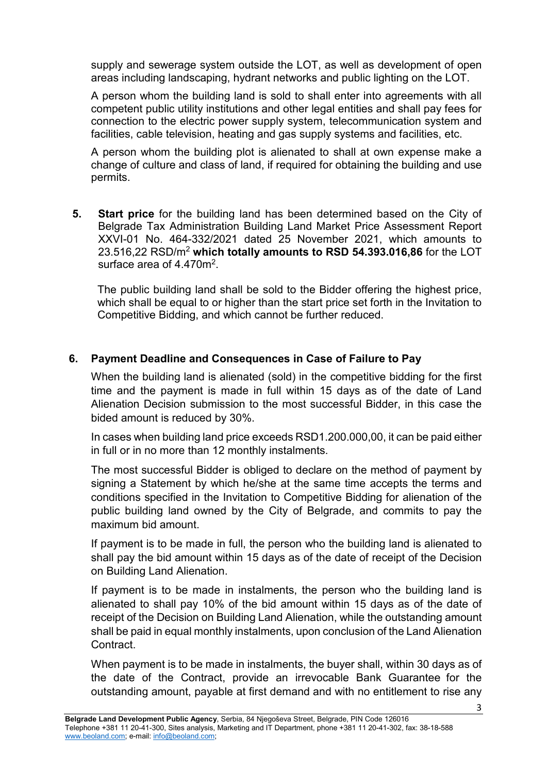supply and sewerage system outside the LOT, as well as development of open areas including landscaping, hydrant networks and public lighting on the LOT.

A person whom the building land is sold to shall enter into agreements with all competent public utility institutions and other legal entities and shall pay fees for connection to the electric power supply system, telecommunication system and facilities, cable television, heating and gas supply systems and facilities, etc.

A person whom the building plot is alienated to shall at own expense make a change of culture and class of land, if required for obtaining the building and use permits.

**5. Start price** for the building land has been determined based on the City of Belgrade Tax Administration Building Land Market Price Assessment Report XXVI-01 No. 464-332/2021 dated 25 November 2021, which amounts to 23.516,22 RSD/m2 **which totally amounts to RSD 54.393.016,86** for the LOT surface area of  $4.470m^2$ .

The public building land shall be sold to the Bidder offering the highest price, which shall be equal to or higher than the start price set forth in the Invitation to Competitive Bidding, and which cannot be further reduced.

## **6. Payment Deadline and Consequences in Case of Failure to Pay**

When the building land is alienated (sold) in the competitive bidding for the first time and the payment is made in full within 15 days as of the date of Land Alienation Decision submission to the most successful Bidder, in this case the bided amount is reduced by 30%.

In cases when building land price exceeds RSD1,200,000,00, it can be paid either in full or in no more than 12 monthly instalments.

The most successful Bidder is obliged to declare on the method of payment by signing a Statement by which he/she at the same time accepts the terms and conditions specified in the Invitation to Competitive Bidding for alienation of the public building land owned by the City of Belgrade, and commits to pay the maximum bid amount.

If payment is to be made in full, the person who the building land is alienated to shall pay the bid amount within 15 days as of the date of receipt of the Decision on Building Land Alienation.

If payment is to be made in instalments, the person who the building land is alienated to shall pay 10% of the bid amount within 15 days as of the date of receipt of the Decision on Building Land Alienation, while the outstanding amount shall be paid in equal monthly instalments, upon conclusion of the Land Alienation Contract.

When payment is to be made in instalments, the buyer shall, within 30 days as of the date of the Contract, provide an irrevocable Bank Guarantee for the outstanding amount, payable at first demand and with no entitlement to rise any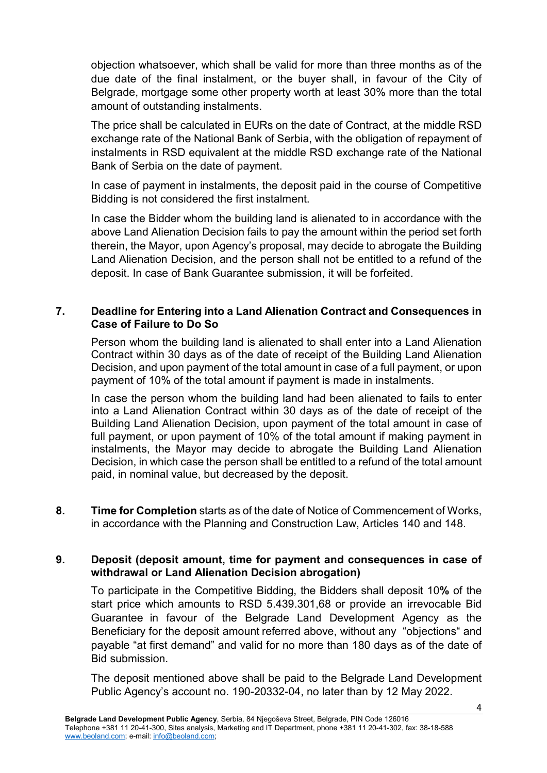objection whatsoever, which shall be valid for more than three months as of the due date of the final instalment, or the buyer shall, in favour of the City of Belgrade, mortgage some other property worth at least 30% more than the total amount of outstanding instalments.

The price shall be calculated in EURs on the date of Contract, at the middle RSD exchange rate of the National Bank of Serbia, with the obligation of repayment of instalments in RSD equivalent at the middle RSD exchange rate of the National Bank of Serbia on the date of payment.

In case of payment in instalments, the deposit paid in the course of Competitive Bidding is not considered the first instalment.

In case the Bidder whom the building land is alienated to in accordance with the above Land Alienation Decision fails to pay the amount within the period set forth therein, the Mayor, upon Agency's proposal, may decide to abrogate the Building Land Alienation Decision, and the person shall not be entitled to a refund of the deposit. In case of Bank Guarantee submission, it will be forfeited.

#### **7. Deadline for Entering into a Land Alienation Contract and Consequences in Case of Failure to Do So**

Person whom the building land is alienated to shall enter into a Land Alienation Contract within 30 days as of the date of receipt of the Building Land Alienation Decision, and upon payment of the total amount in case of a full payment, or upon payment of 10% of the total amount if payment is made in instalments.

In case the person whom the building land had been alienated to fails to enter into a Land Alienation Contract within 30 days as of the date of receipt of the Building Land Alienation Decision, upon payment of the total amount in case of full payment, or upon payment of 10% of the total amount if making payment in instalments, the Mayor may decide to abrogate the Building Land Alienation Decision, in which case the person shall be entitled to a refund of the total amount paid, in nominal value, but decreased by the deposit.

**8. Time for Completion** starts as of the date of Notice of Commencement of Works, in accordance with the Planning and Construction Law, Articles 140 and 148.

#### **9. Deposit (deposit amount, time for payment and consequences in case of withdrawal or Land Alienation Decision abrogation)**

To participate in the Competitive Bidding, the Bidders shall deposit 10**%** of the start price which amounts to RSD 5.439.301,68 or provide an irrevocable Bid Guarantee in favour of the Belgrade Land Development Agency as the Beneficiary for the deposit amount referred above, without any "objections" and payable "at first demand" and valid for no more than 180 days as of the date of Bid submission.

The deposit mentioned above shall be paid to the Belgrade Land Development Public Agency's account no. 190-20332-04, no later than by 12 May 2022.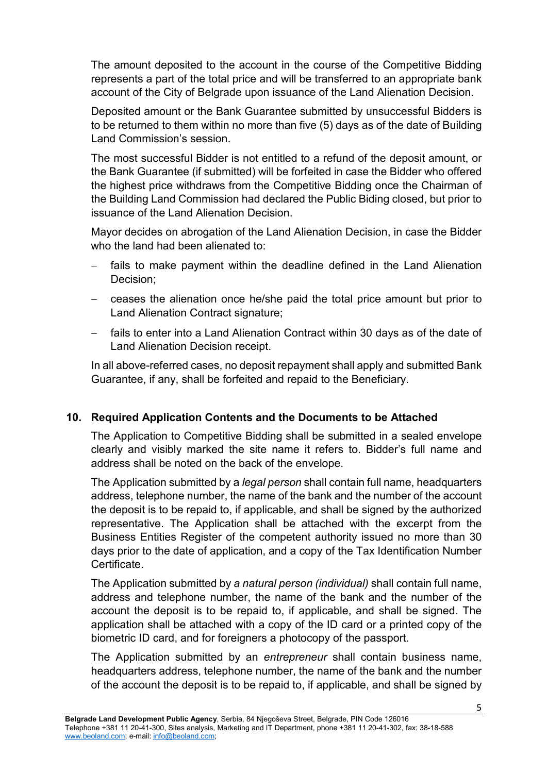The amount deposited to the account in the course of the Competitive Bidding represents a part of the total price and will be transferred to an appropriate bank account of the City of Belgrade upon issuance of the Land Alienation Decision.

Deposited amount or the Bank Guarantee submitted by unsuccessful Bidders is to be returned to them within no more than five (5) days as of the date of Building Land Commission's session.

The most successful Bidder is not entitled to a refund of the deposit amount, or the Bank Guarantee (if submitted) will be forfeited in case the Bidder who offered the highest price withdraws from the Competitive Bidding once the Chairman of the Building Land Commission had declared the Public Biding closed, but prior to issuance of the Land Alienation Decision.

Mayor decides on abrogation of the Land Alienation Decision, in case the Bidder who the land had been alienated to:

- fails to make payment within the deadline defined in the Land Alienation Decision;
- − ceases the alienation once he/she paid the total price amount but prior to Land Alienation Contract signature;
- − fails to enter into a Land Alienation Contract within 30 days as of the date of Land Alienation Decision receipt.

In all above-referred cases, no deposit repayment shall apply and submitted Bank Guarantee, if any, shall be forfeited and repaid to the Beneficiary.

# **10. Required Application Contents and the Documents to be Attached**

The Application to Competitive Bidding shall be submitted in a sealed envelope clearly and visibly marked the site name it refers to. Bidder's full name and address shall be noted on the back of the envelope.

The Application submitted by a *legal person* shall contain full name, headquarters address, telephone number, the name of the bank and the number of the account the deposit is to be repaid to, if applicable, and shall be signed by the authorized representative. The Application shall be attached with the excerpt from the Business Entities Register of the competent authority issued no more than 30 days prior to the date of application, and a copy of the Tax Identification Number Certificate.

The Application submitted by *a natural person (individual)* shall contain full name, address and telephone number, the name of the bank and the number of the account the deposit is to be repaid to, if applicable, and shall be signed. The application shall be attached with a copy of the ID card or a printed copy of the biometric ID card, and for foreigners a photocopy of the passport.

The Application submitted by an *entrepreneur* shall contain business name, headquarters address, telephone number, the name of the bank and the number of the account the deposit is to be repaid to, if applicable, and shall be signed by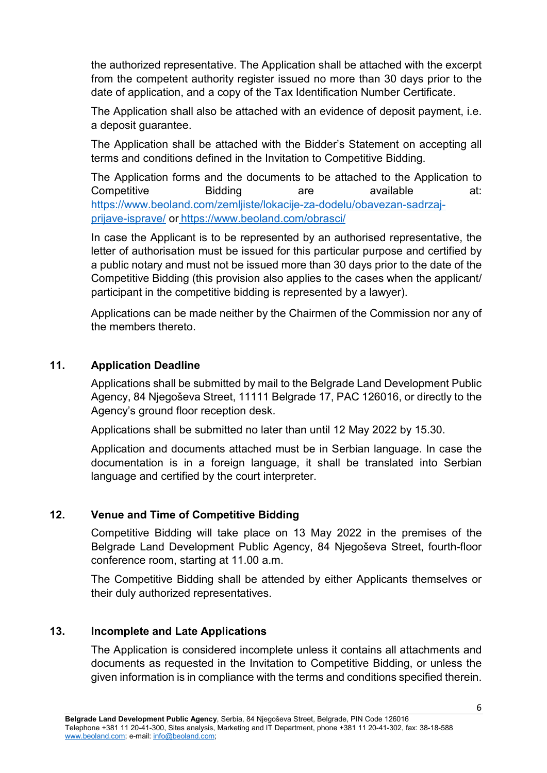the authorized representative. The Application shall be attached with the excerpt from the competent authority register issued no more than 30 days prior to the date of application, and a copy of the Tax Identification Number Certificate.

The Application shall also be attached with an evidence of deposit payment, i.e. a deposit guarantee.

The Application shall be attached with the Bidder's Statement on accepting all terms and conditions defined in the Invitation to Competitive Bidding.

The Application forms and the documents to be attached to the Application to Competitive Bidding are available at: [https://www.beoland.com/zemljiste/lokacije-za-dodelu/obavezan-sadrzaj](https://www.beoland.com/zemljiste/lokacije-za-dodelu/obavezan-sadrzaj-prijave-isprave/)[prijave-isprave/](https://www.beoland.com/zemljiste/lokacije-za-dodelu/obavezan-sadrzaj-prijave-isprave/) or <https://www.beoland.com/obrasci/>

In case the Applicant is to be represented by an authorised representative, the letter of authorisation must be issued for this particular purpose and certified by a public notary and must not be issued more than 30 days prior to the date of the Competitive Bidding (this provision also applies to the cases when the applicant/ participant in the competitive bidding is represented by a lawyer).

Applications can be made neither by the Chairmen of the Commission nor any of the members thereto.

## **11. Application Deadline**

Applications shall be submitted by mail to the Belgrade Land Development Public Agency, 84 Njegoševa Street, 11111 Belgrade 17, PAC 126016, or directly to the Agency's ground floor reception desk.

Applications shall be submitted no later than until 12 May 2022 by 15.30.

Application and documents attached must be in Serbian language. In case the documentation is in a foreign language, it shall be translated into Serbian language and certified by the court interpreter.

## **12. Venue and Time of Competitive Bidding**

Competitive Bidding will take place on 13 May 2022 in the premises of the Belgrade Land Development Public Agency, 84 Njegoševa Street, fourth-floor conference room, starting at 11.00 a.m.

The Competitive Bidding shall be attended by either Applicants themselves or their duly authorized representatives.

## **13. Incomplete and Late Applications**

The Application is considered incomplete unless it contains all attachments and documents as requested in the Invitation to Competitive Bidding, or unless the given information is in compliance with the terms and conditions specified therein.